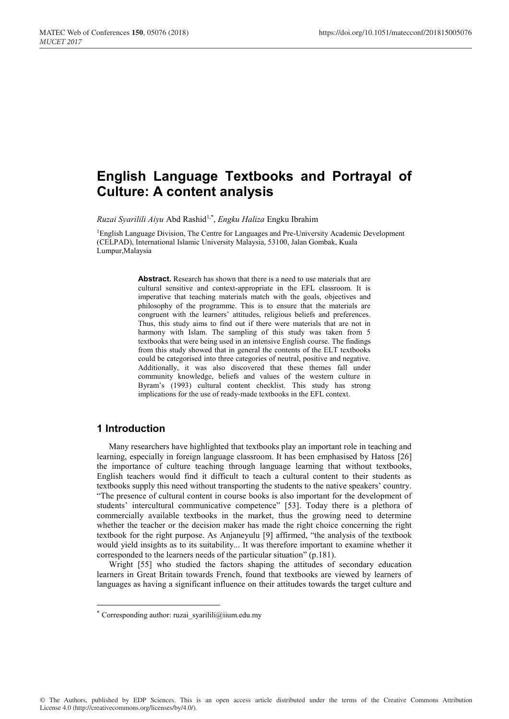# **English Language Textbooks and Portrayal of Culture: A content analysis**

*Ruzai Syarilili Aiyu* Abd Rashid1,\* , *Engku Haliza* Engku Ibrahim

1English Language Division, The Centre for Languages and Pre-University Academic Development (CELPAD), International Islamic University Malaysia, 53100, Jalan Gombak, Kuala Lumpur,Malaysia

> **Abstract.** Research has shown that there is a need to use materials that are cultural sensitive and context-appropriate in the EFL classroom. It is imperative that teaching materials match with the goals, objectives and philosophy of the programme. This is to ensure that the materials are congruent with the learners' attitudes, religious beliefs and preferences. Thus, this study aims to find out if there were materials that are not in harmony with Islam. The sampling of this study was taken from 5 textbooks that were being used in an intensive English course. The findings from this study showed that in general the contents of the ELT textbooks could be categorised into three categories of neutral, positive and negative. Additionally, it was also discovered that these themes fall under community knowledge, beliefs and values of the western culture in Byram's (1993) cultural content checklist. This study has strong implications for the use of ready-made textbooks in the EFL context.

## **1 Introduction**

Many researchers have highlighted that textbooks play an important role in teaching and learning, especially in foreign language classroom. It has been emphasised by Hatoss [26] the importance of culture teaching through language learning that without textbooks, English teachers would find it difficult to teach a cultural content to their students as textbooks supply this need without transporting the students to the native speakers' country. "The presence of cultural content in course books is also important for the development of students' intercultural communicative competence" [53]. Today there is a plethora of commercially available textbooks in the market, thus the growing need to determine whether the teacher or the decision maker has made the right choice concerning the right textbook for the right purpose. As Anjaneyulu [9] affirmed, "the analysis of the textbook would yield insights as to its suitability... It was therefore important to examine whether it corresponded to the learners needs of the particular situation" (p.181).

Wright [55] who studied the factors shaping the attitudes of secondary education learners in Great Britain towards French, found that textbooks are viewed by learners of languages as having a significant influence on their attitudes towards the target culture and

<sup>\*</sup> Corresponding author: ruzai syarilili@iium.edu.my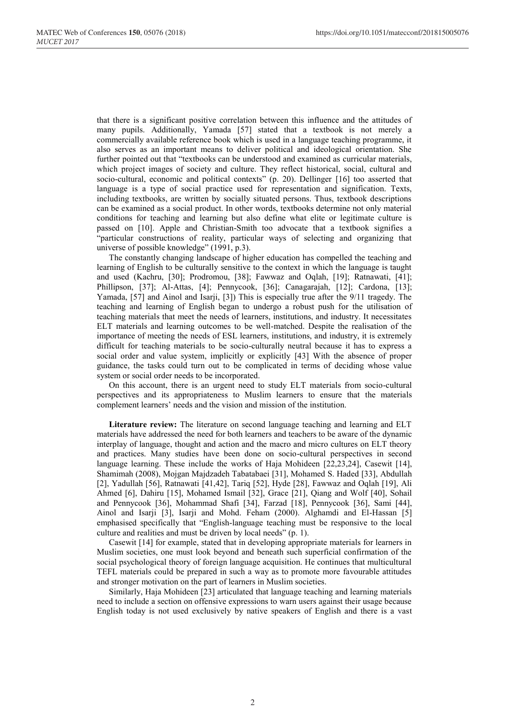that there is a significant positive correlation between this influence and the attitudes of many pupils. Additionally, Yamada [57] stated that a textbook is not merely a commercially available reference book which is used in a language teaching programme, it also serves as an important means to deliver political and ideological orientation. She further pointed out that "textbooks can be understood and examined as curricular materials, which project images of society and culture. They reflect historical, social, cultural and socio-cultural, economic and political contexts" (p. 20). Dellinger [16] too asserted that language is a type of social practice used for representation and signification. Texts, including textbooks, are written by socially situated persons. Thus, textbook descriptions can be examined as a social product. In other words, textbooks determine not only material conditions for teaching and learning but also define what elite or legitimate culture is passed on [10]. Apple and Christian-Smith too advocate that a textbook signifies a "particular constructions of reality, particular ways of selecting and organizing that universe of possible knowledge" (1991, p.3).

The constantly changing landscape of higher education has compelled the teaching and learning of English to be culturally sensitive to the context in which the language is taught and used (Kachru, [30]; Prodromou, [38]; Fawwaz and Oqlah, [19]; Ratnawati, [41]; Phillipson, [37]; Al-Attas, [4]; Pennycook, [36]; Canagarajah, [12]; Cardona, [13]; Yamada, [57] and Ainol and Isarji, [3]) This is especially true after the 9/11 tragedy. The teaching and learning of English began to undergo a robust push for the utilisation of teaching materials that meet the needs of learners, institutions, and industry. It necessitates ELT materials and learning outcomes to be well-matched. Despite the realisation of the importance of meeting the needs of ESL learners, institutions, and industry, it is extremely difficult for teaching materials to be socio-culturally neutral because it has to express a social order and value system, implicitly or explicitly [43] With the absence of proper guidance, the tasks could turn out to be complicated in terms of deciding whose value system or social order needs to be incorporated.

On this account, there is an urgent need to study ELT materials from socio-cultural perspectives and its appropriateness to Muslim learners to ensure that the materials complement learners' needs and the vision and mission of the institution.

**Literature review:** The literature on second language teaching and learning and ELT materials have addressed the need for both learners and teachers to be aware of the dynamic interplay of language, thought and action and the macro and micro cultures on ELT theory and practices. Many studies have been done on socio-cultural perspectives in second language learning. These include the works of Haja Mohideen [22,23,24], Casewit [14], Shamimah (2008), Mojgan Majdzadeh Tabatabaei [31], Mohamed S. Haded [33], Abdullah [2], Yadullah [56], Ratnawati [41,42], Tariq [52], Hyde [28], Fawwaz and Oqlah [19], Ali Ahmed [6], Dahiru [15], Mohamed Ismail [32], Grace [21], Qiang and Wolf [40], Sohail and Pennycook [36], Mohammad Shafi [34], Farzad [18], Pennycook [36], Sami [44], Ainol and Isarji [3], Isarji and Mohd. Feham (2000). Alghamdi and El-Hassan [5] emphasised specifically that "English-language teaching must be responsive to the local culture and realities and must be driven by local needs" (p. 1).

Casewit [14] for example, stated that in developing appropriate materials for learners in Muslim societies, one must look beyond and beneath such superficial confirmation of the social psychological theory of foreign language acquisition. He continues that multicultural TEFL materials could be prepared in such a way as to promote more favourable attitudes and stronger motivation on the part of learners in Muslim societies.

Similarly, Haja Mohideen [23] articulated that language teaching and learning materials need to include a section on offensive expressions to warn users against their usage because English today is not used exclusively by native speakers of English and there is a vast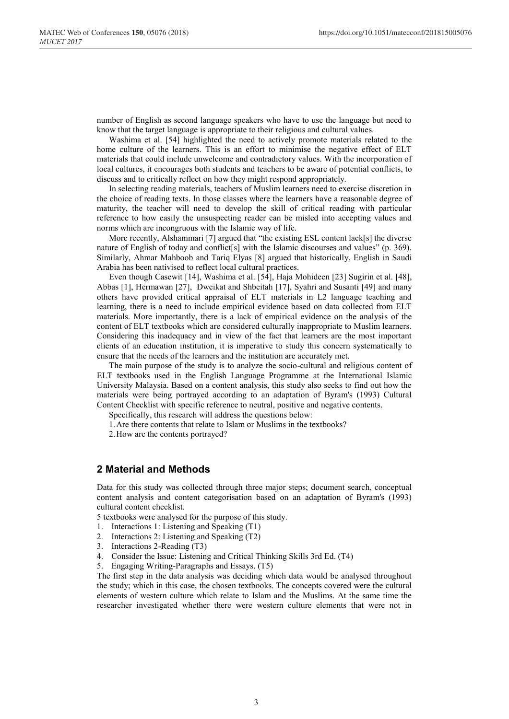number of English as second language speakers who have to use the language but need to know that the target language is appropriate to their religious and cultural values.

Washima et al. [54] highlighted the need to actively promote materials related to the home culture of the learners. This is an effort to minimise the negative effect of ELT materials that could include unwelcome and contradictory values. With the incorporation of local cultures, it encourages both students and teachers to be aware of potential conflicts, to discuss and to critically reflect on how they might respond appropriately.

In selecting reading materials, teachers of Muslim learners need to exercise discretion in the choice of reading texts. In those classes where the learners have a reasonable degree of maturity, the teacher will need to develop the skill of critical reading with particular reference to how easily the unsuspecting reader can be misled into accepting values and norms which are incongruous with the Islamic way of life.

More recently, Alshammari [7] argued that "the existing ESL content lack[s] the diverse nature of English of today and conflict[s] with the Islamic discourses and values" (p. 369). Similarly, Ahmar Mahboob and Tariq Elyas [8] argued that historically, English in Saudi Arabia has been nativised to reflect local cultural practices.

Even though Casewit [14], Washima et al. [54], Haja Mohideen [23] Sugirin et al. [48], Abbas [1], Hermawan [27], Dweikat and Shbeitah [17], Syahri and Susanti [49] and many others have provided critical appraisal of ELT materials in L2 language teaching and learning, there is a need to include empirical evidence based on data collected from ELT materials. More importantly, there is a lack of empirical evidence on the analysis of the content of ELT textbooks which are considered culturally inappropriate to Muslim learners. Considering this inadequacy and in view of the fact that learners are the most important clients of an education institution, it is imperative to study this concern systematically to ensure that the needs of the learners and the institution are accurately met.

The main purpose of the study is to analyze the socio-cultural and religious content of ELT textbooks used in the English Language Programme at the International Islamic University Malaysia. Based on a content analysis, this study also seeks to find out how the materials were being portrayed according to an adaptation of Byram's (1993) Cultural Content Checklist with specific reference to neutral, positive and negative contents.

Specifically, this research will address the questions below:

1.Are there contents that relate to Islam or Muslims in the textbooks?

2.How are the contents portrayed?

#### **2 Material and Methods**

Data for this study was collected through three major steps; document search, conceptual content analysis and content categorisation based on an adaptation of Byram's (1993) cultural content checklist.

5 textbooks were analysed for the purpose of this study.

- 1. Interactions 1: Listening and Speaking (T1)
- 2. Interactions 2: Listening and Speaking (T2)
- 3. Interactions 2-Reading (T3)
- 4. Consider the Issue: Listening and Critical Thinking Skills 3rd Ed. (T4)
- 5. Engaging Writing-Paragraphs and Essays. (T5)

The first step in the data analysis was deciding which data would be analysed throughout the study; which in this case, the chosen textbooks. The concepts covered were the cultural elements of western culture which relate to Islam and the Muslims. At the same time the researcher investigated whether there were western culture elements that were not in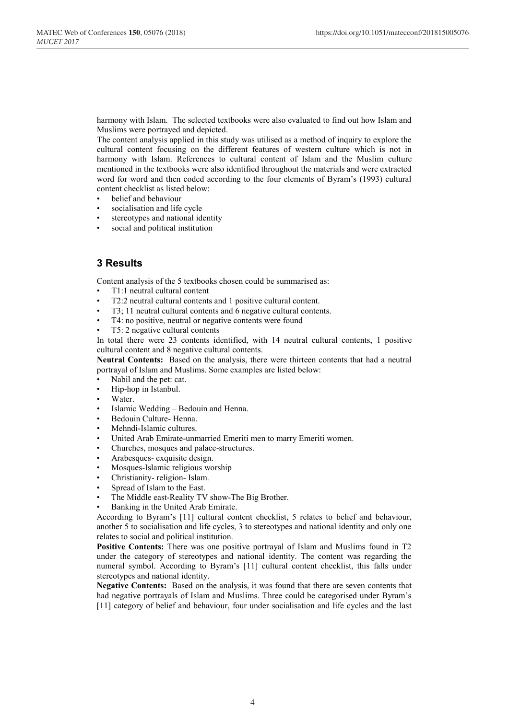harmony with Islam. The selected textbooks were also evaluated to find out how Islam and Muslims were portrayed and depicted.

The content analysis applied in this study was utilised as a method of inquiry to explore the cultural content focusing on the different features of western culture which is not in harmony with Islam. References to cultural content of Islam and the Muslim culture mentioned in the textbooks were also identified throughout the materials and were extracted word for word and then coded according to the four elements of Byram's (1993) cultural content checklist as listed below:

- belief and behaviour
- socialisation and life cycle
- stereotypes and national identity
- social and political institution

# **3 Results**

Content analysis of the 5 textbooks chosen could be summarised as:

- T1:1 neutral cultural content
- T2:2 neutral cultural contents and 1 positive cultural content.
- T3; 11 neutral cultural contents and 6 negative cultural contents.
- T4: no positive, neutral or negative contents were found
- T5: 2 negative cultural contents

In total there were 23 contents identified, with 14 neutral cultural contents, 1 positive cultural content and 8 negative cultural contents.

**Neutral Contents:** Based on the analysis, there were thirteen contents that had a neutral portrayal of Islam and Muslims. Some examples are listed below:

- Nabil and the pet: cat.
- Hip-hop in Istanbul.
- Water.
- Islamic Wedding Bedouin and Henna.
- Bedouin Culture- Henna.
- Mehndi-Islamic cultures.
- United Arab Emirate-unmarried Emeriti men to marry Emeriti women.
- Churches, mosques and palace-structures.
- Arabesques- exquisite design.
- Mosques-Islamic religious worship
- Christianity- religion- Islam.
- Spread of Islam to the East.
- The Middle east-Reality TV show-The Big Brother.
- Banking in the United Arab Emirate.

According to Byram's [11] cultural content checklist, 5 relates to belief and behaviour, another 5 to socialisation and life cycles, 3 to stereotypes and national identity and only one relates to social and political institution.

**Positive Contents:** There was one positive portrayal of Islam and Muslims found in T2 under the category of stereotypes and national identity. The content was regarding the numeral symbol. According to Byram's [11] cultural content checklist, this falls under stereotypes and national identity.

**Negative Contents:** Based on the analysis, it was found that there are seven contents that had negative portrayals of Islam and Muslims. Three could be categorised under Byram's [11] category of belief and behaviour, four under socialisation and life cycles and the last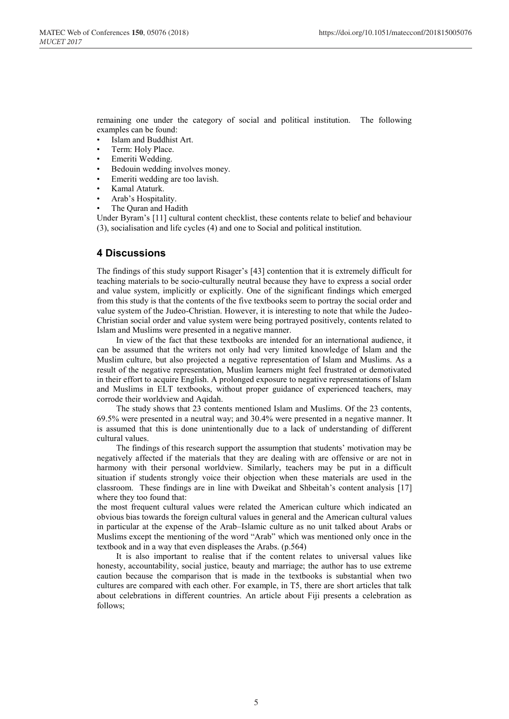remaining one under the category of social and political institution. The following examples can be found:

- Islam and Buddhist Art.
- Term: Holy Place.
- Emeriti Wedding.
- Bedouin wedding involves money.
- Emeriti wedding are too lavish.
- Kamal Ataturk.
- Arab's Hospitality.
- The Quran and Hadith

Under Byram's [11] cultural content checklist, these contents relate to belief and behaviour (3), socialisation and life cycles (4) and one to Social and political institution.

#### **4 Discussions**

The findings of this study support Risager's [43] contention that it is extremely difficult for teaching materials to be socio-culturally neutral because they have to express a social order and value system, implicitly or explicitly. One of the significant findings which emerged from this study is that the contents of the five textbooks seem to portray the social order and value system of the Judeo-Christian. However, it is interesting to note that while the Judeo-Christian social order and value system were being portrayed positively, contents related to Islam and Muslims were presented in a negative manner.

In view of the fact that these textbooks are intended for an international audience, it can be assumed that the writers not only had very limited knowledge of Islam and the Muslim culture, but also projected a negative representation of Islam and Muslims. As a result of the negative representation, Muslim learners might feel frustrated or demotivated in their effort to acquire English. A prolonged exposure to negative representations of Islam and Muslims in ELT textbooks, without proper guidance of experienced teachers, may corrode their worldview and Aqidah.

The study shows that 23 contents mentioned Islam and Muslims. Of the 23 contents, 69.5% were presented in a neutral way; and 30.4% were presented in a negative manner. It is assumed that this is done unintentionally due to a lack of understanding of different cultural values.

The findings of this research support the assumption that students' motivation may be negatively affected if the materials that they are dealing with are offensive or are not in harmony with their personal worldview. Similarly, teachers may be put in a difficult situation if students strongly voice their objection when these materials are used in the classroom. These findings are in line with Dweikat and Shbeitah's content analysis [17] where they too found that:

the most frequent cultural values were related the American culture which indicated an obvious bias towards the foreign cultural values in general and the American cultural values in particular at the expense of the Arab–Islamic culture as no unit talked about Arabs or Muslims except the mentioning of the word "Arab" which was mentioned only once in the textbook and in a way that even displeases the Arabs. (p.564)

It is also important to realise that if the content relates to universal values like honesty, accountability, social justice, beauty and marriage; the author has to use extreme caution because the comparison that is made in the textbooks is substantial when two cultures are compared with each other. For example, in T5, there are short articles that talk about celebrations in different countries. An article about Fiji presents a celebration as follows;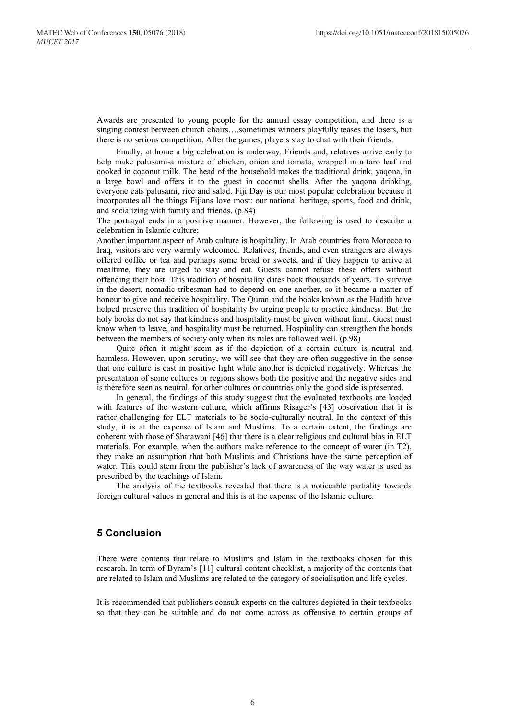Awards are presented to young people for the annual essay competition, and there is a singing contest between church choirs….sometimes winners playfully teases the losers, but there is no serious competition. After the games, players stay to chat with their friends.

Finally, at home a big celebration is underway. Friends and, relatives arrive early to help make palusami-a mixture of chicken, onion and tomato, wrapped in a taro leaf and cooked in coconut milk. The head of the household makes the traditional drink, yaqona, in a large bowl and offers it to the guest in coconut shells. After the yaqona drinking, everyone eats palusami, rice and salad. Fiji Day is our most popular celebration because it incorporates all the things Fijians love most: our national heritage, sports, food and drink, and socializing with family and friends. (p.84)

The portrayal ends in a positive manner. However, the following is used to describe a celebration in Islamic culture;

Another important aspect of Arab culture is hospitality. In Arab countries from Morocco to Iraq, visitors are very warmly welcomed. Relatives, friends, and even strangers are always offered coffee or tea and perhaps some bread or sweets, and if they happen to arrive at mealtime, they are urged to stay and eat. Guests cannot refuse these offers without offending their host. This tradition of hospitality dates back thousands of years. To survive in the desert, nomadic tribesman had to depend on one another, so it became a matter of honour to give and receive hospitality. The Quran and the books known as the Hadith have helped preserve this tradition of hospitality by urging people to practice kindness. But the holy books do not say that kindness and hospitality must be given without limit. Guest must know when to leave, and hospitality must be returned. Hospitality can strengthen the bonds between the members of society only when its rules are followed well. (p.98)

Quite often it might seem as if the depiction of a certain culture is neutral and harmless. However, upon scrutiny, we will see that they are often suggestive in the sense that one culture is cast in positive light while another is depicted negatively. Whereas the presentation of some cultures or regions shows both the positive and the negative sides and is therefore seen as neutral, for other cultures or countries only the good side is presented.

In general, the findings of this study suggest that the evaluated textbooks are loaded with features of the western culture, which affirms Risager's [43] observation that it is rather challenging for ELT materials to be socio-culturally neutral. In the context of this study, it is at the expense of Islam and Muslims. To a certain extent, the findings are coherent with those of Shatawani [46] that there is a clear religious and cultural bias in ELT materials. For example, when the authors make reference to the concept of water (in T2), they make an assumption that both Muslims and Christians have the same perception of water. This could stem from the publisher's lack of awareness of the way water is used as prescribed by the teachings of Islam.

The analysis of the textbooks revealed that there is a noticeable partiality towards foreign cultural values in general and this is at the expense of the Islamic culture.

### **5 Conclusion**

There were contents that relate to Muslims and Islam in the textbooks chosen for this research. In term of Byram's [11] cultural content checklist, a majority of the contents that are related to Islam and Muslims are related to the category of socialisation and life cycles.

It is recommended that publishers consult experts on the cultures depicted in their textbooks so that they can be suitable and do not come across as offensive to certain groups of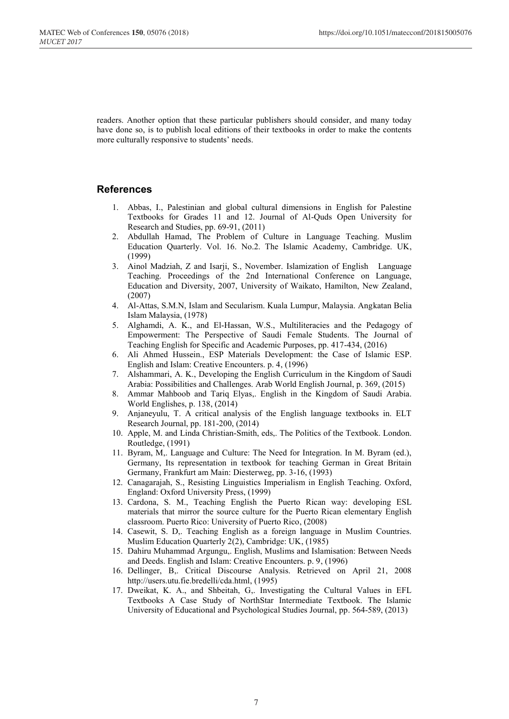readers. Another option that these particular publishers should consider, and many today have done so, is to publish local editions of their textbooks in order to make the contents more culturally responsive to students' needs.

## **References**

- 1. Abbas, I., Palestinian and global cultural dimensions in English for Palestine Textbooks for Grades 11 and 12. Journal of Al-Quds Open University for Research and Studies, pp. 69-91, (2011)
- 2. Abdullah Hamad, The Problem of Culture in Language Teaching. Muslim Education Quarterly. Vol. 16. No.2. The Islamic Academy, Cambridge. UK, (1999)
- 3. Ainol Madziah, Z and Isarji, S., November. Islamization of English Language Teaching. Proceedings of the 2nd International Conference on Language, Education and Diversity, 2007, University of Waikato, Hamilton, New Zealand, (2007)
- 4. Al-Attas, S.M.N, Islam and Secularism. Kuala Lumpur, Malaysia. Angkatan Belia Islam Malaysia, (1978)
- 5. Alghamdi, A. K., and El-Hassan, W.S., Multiliteracies and the Pedagogy of Empowerment: The Perspective of Saudi Female Students. The Journal of Teaching English for Specific and Academic Purposes, pp. 417-434, (2016)
- 6. Ali Ahmed Hussein., ESP Materials Development: the Case of Islamic ESP. English and Islam: Creative Encounters. p. 4, (1996)
- 7. Alshammari, A. K., Developing the English Curriculum in the Kingdom of Saudi Arabia: Possibilities and Challenges. Arab World English Journal, p. 369, (2015)
- 8. Ammar Mahboob and Tariq Elyas,. English in the Kingdom of Saudi Arabia. World Englishes, p. 138, (2014)
- 9. Anjaneyulu, T. A critical analysis of the English language textbooks in. ELT Research Journal, pp. 181-200, (2014)
- 10. Apple, M. and Linda Christian-Smith, eds,. The Politics of the Textbook. London. Routledge, (1991)
- 11. Byram, M,. Language and Culture: The Need for Integration. In M. Byram (ed.), Germany, Its representation in textbook for teaching German in Great Britain Germany, Frankfurt am Main: Diesterweg, pp. 3-16, (1993)
- 12. Canagarajah, S., Resisting Linguistics Imperialism in English Teaching. Oxford, England: Oxford University Press, (1999)
- 13. Cardona, S. M., Teaching English the Puerto Rican way: developing ESL materials that mirror the source culture for the Puerto Rican elementary English classroom. Puerto Rico: University of Puerto Rico, (2008)
- 14. Casewit, S. D,. Teaching English as a foreign language in Muslim Countries. Muslim Education Quarterly 2(2), Cambridge: UK, (1985)
- 15. Dahiru Muhammad Argungu,. English, Muslims and Islamisation: Between Needs and Deeds. English and Islam: Creative Encounters. p. 9, (1996)
- 16. Dellinger, B,. Critical Discourse Analysis. Retrieved on April 21, 2008 http://users.utu.fie.bredelli/cda.html, (1995)
- 17. Dweikat, K. A., and Shbeitah, G,. Investigating the Cultural Values in EFL Textbooks A Case Study of NorthStar Intermediate Textbook. The Islamic University of Educational and Psychological Studies Journal, pp. 564-589, (2013)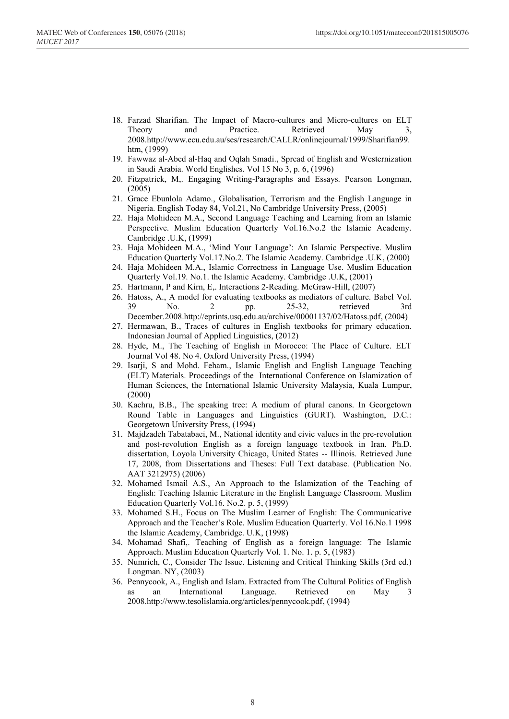- 18. Farzad Sharifian. The Impact of Macro-cultures and Micro-cultures on ELT Theory and Practice. Retrieved May 2008.http://www.ecu.edu.au/ses/research/CALLR/onlinejournal/1999/Sharifian99. htm, (1999)
- 19. Fawwaz al-Abed al-Haq and Oqlah Smadi., Spread of English and Westernization in Saudi Arabia. World Englishes. Vol 15 No 3, p. 6, (1996)
- 20. Fitzpatrick, M,. Engaging Writing-Paragraphs and Essays. Pearson Longman, (2005)
- 21. Grace Ebunlola Adamo., Globalisation, Terrorism and the English Language in Nigeria. English Today 84, Vol.21, No Cambridge University Press, (2005)
- 22. Haja Mohideen M.A., Second Language Teaching and Learning from an Islamic Perspective. Muslim Education Quarterly Vol.16.No.2 the Islamic Academy. Cambridge .U.K, (1999)
- 23. Haja Mohideen M.A., 'Mind Your Language': An Islamic Perspective. Muslim Education Quarterly Vol.17.No.2. The Islamic Academy. Cambridge .U.K, (2000)
- 24. Haja Mohideen M.A., Islamic Correctness in Language Use. Muslim Education Quarterly Vol.19. No.1. the Islamic Academy. Cambridge .U.K, (2001)
- 25. Hartmann, P and Kirn, E,. Interactions 2-Reading. McGraw-Hill, (2007)
- 26. Hatoss, A., A model for evaluating textbooks as mediators of culture. Babel Vol. 39 No. 2 pp. 25-32, retrieved 3rd December.2008.http://eprints.usq.edu.au/archive/00001137/02/Hatoss.pdf, (2004)
- 27. Hermawan, B., Traces of cultures in English textbooks for primary education. Indonesian Journal of Applied Linguistics, (2012)
- 28. Hyde, M., The Teaching of English in Morocco: The Place of Culture. ELT Journal Vol 48. No 4. Oxford University Press, (1994)
- 29. Isarji, S and Mohd. Feham., Islamic English and English Language Teaching (ELT) Materials. Proceedings of the International Conference on Islamization of Human Sciences, the International Islamic University Malaysia, Kuala Lumpur, (2000)
- 30. Kachru, B.B., The speaking tree: A medium of plural canons. In Georgetown Round Table in Languages and Linguistics (GURT). Washington, D.C.: Georgetown University Press, (1994)
- 31. Majdzadeh Tabatabaei, M., National identity and civic values in the pre-revolution and post-revolution English as a foreign language textbook in Iran. Ph.D. dissertation, Loyola University Chicago, United States -- Illinois. Retrieved June 17, 2008, from Dissertations and Theses: Full Text database. (Publication No. AAT 3212975) (2006)
- 32. Mohamed Ismail A.S., An Approach to the Islamization of the Teaching of English: Teaching Islamic Literature in the English Language Classroom. Muslim Education Quarterly Vol.16. No.2. p. 5, (1999)
- 33. Mohamed S.H., Focus on The Muslim Learner of English: The Communicative Approach and the Teacher's Role. Muslim Education Quarterly. Vol 16.No.1 1998 the Islamic Academy, Cambridge. U.K, (1998)
- 34. Mohamad Shafi,. Teaching of English as a foreign language: The Islamic Approach. Muslim Education Quarterly Vol. 1. No. 1. p. 5, (1983)
- 35. Numrich, C., Consider The Issue. Listening and Critical Thinking Skills (3rd ed.) Longman. NY, (2003)
- 36. Pennycook, A., English and Islam. Extracted from The Cultural Politics of English as an International Language. Retrieved on May 3 2008.http://www.tesolislamia.org/articles/pennycook.pdf, (1994)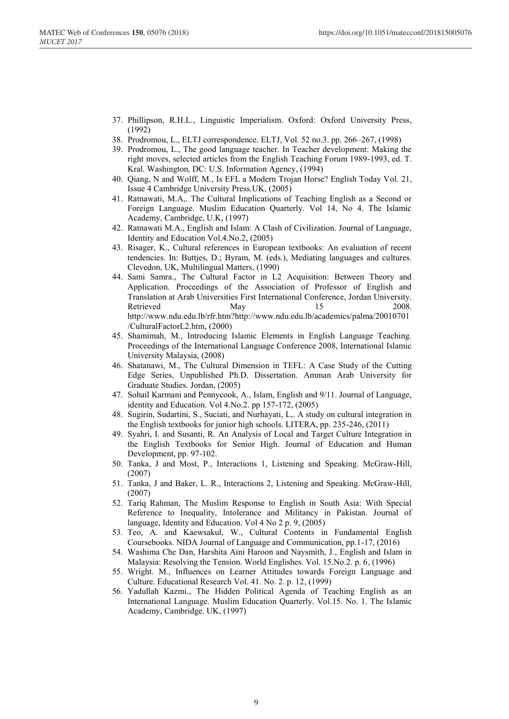- 37. Phillipson, R.H.L., Linguistic Imperialism. Oxford: Oxford University Press, (1992)
- 38. Prodromou, L., ELTJ correspondence. ELTJ, Vol. 52 no.3. pp. 266–267, (1998)
- 39. Prodromou, L., The good language teacher. In Teacher development: Making the right moves, selected articles from the English Teaching Forum 1989-1993, ed. T. Kral. Washington, DC: U.S. Information Agency, (1994)
- 40. Qiang, N and Wolff, M., Is EFL a Modern Trojan Horse? English Today Vol. 21, Issue 4 Cambridge University Press.UK, (2005)
- 41. Ratnawati, M.A,. The Cultural Implications of Teaching English as a Second or Foreign Language. Muslim Education Quarterly. Vol 14, No 4. The Islamic Academy, Cambridge, U.K, (1997)
- 42. Ratnawati M.A., English and Islam: A Clash of Civilization. Journal of Language, Identity and Education Vol.4.No.2, (2005)
- 43. Risager, K., Cultural references in European textbooks: An evaluation of recent tendencies. In: Buttjes, D.; Byram, M. (eds.), Mediating languages and cultures. Clevedon, UK, Multilingual Matters, (1990)
- 44. Sami Samra., The Cultural Factor in L2 Acquisition: Between Theory and Application. Proceedings of the Association of Professor of English and Translation at Arab Universities First International Conference, Jordan University. Retrieved May 15 2008. http://www.ndu.edu.lb/rfr.htm?http://www.ndu.edu.lb/academics/palma/20010701 /CulturalFactorL2.htm, (2000)
- 45. Shamimah, M., Introducing Islamic Elements in English Language Teaching. Proceedings of the International Language Conference 2008, International Islamic University Malaysia, (2008)
- 46. Shatanawi, M., The Cultural Dimension in TEFL: A Case Study of the Cutting Edge Series, Unpublished Ph.D. Dissertation. Amman Arab University for Graduate Studies. Jordan, (2005)
- 47. Sohail Karmani and Pennycook, A., Islam, English and 9/11. Journal of Language, identity and Education. Vol 4.No.2. pp 157-172, (2005)
- 48. Sugirin, Sudartini, S., Suciati, and Nurhayati, L,. A study on cultural integration in the English textbooks for junior high schools. LITERA, pp. 235-246, (2011)
- 49. Syahri, I. and Susanti, R. An Analysis of Local and Target Culture Integration in the English Textbooks for Senior High. Journal of Education and Human Development, pp. 97-102.
- 50. Tanka, J and Most, P., Interactions 1, Listening and Speaking. McGraw-Hill, (2007)
- 51. Tanka, J and Baker, L. R., Interactions 2, Listening and Speaking. McGraw-Hill, (2007)
- 52. Tariq Rahman, The Muslim Response to English in South Asia: With Special Reference to Inequality, Intolerance and Militancy in Pakistan. Journal of language, Identity and Education. Vol 4 No 2 p. 9, (2005)
- 53. Teo, A. and Kaewsakul, W., Cultural Contents in Fundamental English Coursebooks. NIDA Journal of Language and Communication, pp.1-17, (2016)
- 54. Washima Che Dan, Harshita Aini Haroon and Naysmith, J., English and Islam in Malaysia: Resolving the Tension. World Englishes. Vol. 15.No.2. p. 6, (1996)
- 55. Wright. M., Influences on Learner Attitudes towards Foreign Language and Culture. Educational Research Vol. 41. No. 2. p. 12, (1999)
- 56. Yadullah Kazmi., The Hidden Political Agenda of Teaching English as an International Language. Muslim Education Quarterly. Vol.15. No. 1. The Islamic Academy, Cambridge. UK, (1997)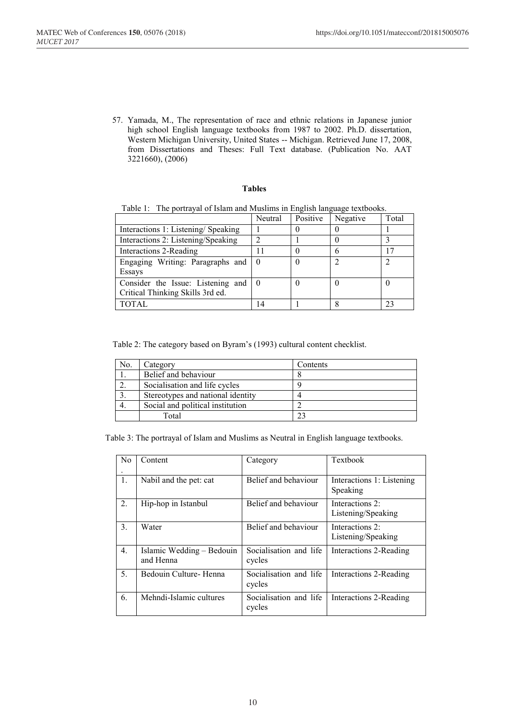57. Yamada, M., The representation of race and ethnic relations in Japanese junior high school English language textbooks from 1987 to 2002. Ph.D. dissertation, Western Michigan University, United States -- Michigan. Retrieved June 17, 2008, from Dissertations and Theses: Full Text database. (Publication No. AAT 3221660), (2006)

#### **Tables**

|                                                                       | Neutral | Positive | Negative | Total |
|-----------------------------------------------------------------------|---------|----------|----------|-------|
| Interactions 1: Listening/Speaking                                    |         |          |          |       |
| Interactions 2: Listening/Speaking                                    |         |          |          |       |
| Interactions 2-Reading                                                |         |          |          |       |
| Engaging Writing: Paragraphs and   0<br>Essays                        |         |          |          | ∍     |
| Consider the Issue: Listening and<br>Critical Thinking Skills 3rd ed. |         |          |          |       |
| TOTAL.                                                                |         |          |          |       |

Table 1: The portrayal of Islam and Muslims in English language textbooks.

Table 2: The category based on Byram's (1993) cultural content checklist.

| No. | Category                          | Contents |
|-----|-----------------------------------|----------|
|     | Belief and behaviour              |          |
|     | Socialisation and life cycles     |          |
|     | Stereotypes and national identity |          |
|     | Social and political institution  |          |
|     | Total                             |          |

Table 3: The portrayal of Islam and Muslims as Neutral in English language textbooks.

| N <sub>0</sub> | Content                                | Category                         | Textbook                              |
|----------------|----------------------------------------|----------------------------------|---------------------------------------|
| 1.             | Nabil and the pet: cat                 | Belief and behaviour             | Interactions 1: Listening<br>Speaking |
| 2.             | Hip-hop in Istanbul                    | Belief and behaviour             | Interactions 2:<br>Listening/Speaking |
| 3.             | Water                                  | Belief and behaviour             | Interactions 2:<br>Listening/Speaking |
| 4.             | Islamic Wedding – Bedouin<br>and Henna | Socialisation and life<br>cycles | Interactions 2-Reading                |
| 5.             | Bedouin Culture-Henna                  | Socialisation and life<br>cycles | Interactions 2-Reading                |
| 6.             | Mehndi-Islamic cultures                | Socialisation and life<br>cycles | Interactions 2-Reading                |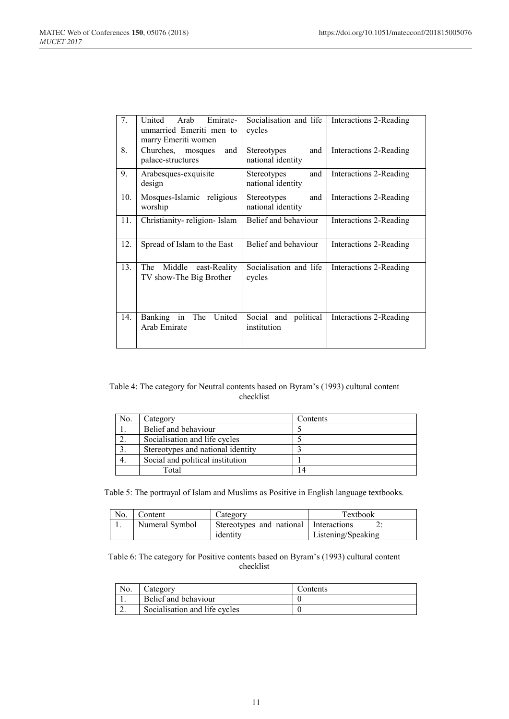| 7.  | United<br>Arab<br>Emirate-<br>unmarried Emeriti men to   | Socialisation and life<br>cycles               | Interactions 2-Reading |
|-----|----------------------------------------------------------|------------------------------------------------|------------------------|
|     | marry Emeriti women                                      |                                                |                        |
| 8.  | Churches, mosques<br>and<br>palace-structures            | and<br><b>Stereotypes</b><br>national identity | Interactions 2-Reading |
| 9.  | Arabesques-exquisite<br>design                           | and<br>Stereotypes<br>national identity        | Interactions 2-Reading |
| 10. | Mosques-Islamic religious<br>worship                     | and<br>Stereotypes<br>national identity        | Interactions 2-Reading |
| 11. | Christianity-religion-Islam                              | Belief and behaviour                           | Interactions 2-Reading |
| 12. | Spread of Islam to the East                              | Belief and behaviour                           | Interactions 2-Reading |
| 13. | Middle<br>The<br>east-Reality<br>TV show-The Big Brother | Socialisation and life<br>cycles               | Interactions 2-Reading |
| 14. | Banking<br>in<br>United<br>The<br>Arab Emirate           | Social and political<br>institution            | Interactions 2-Reading |

#### Table 4: The category for Neutral contents based on Byram's (1993) cultural content checklist

| No. | Category                          | Contents |
|-----|-----------------------------------|----------|
|     | Belief and behaviour              |          |
|     | Socialisation and life cycles     |          |
|     | Stereotypes and national identity |          |
|     | Social and political institution  |          |
|     | Total                             | 14       |

Table 5: The portrayal of Islam and Muslims as Positive in English language textbooks.

| No. | Content        | Category                                | <b>Textbook</b>    |
|-----|----------------|-----------------------------------------|--------------------|
|     | Numeral Symbol | Stereotypes and national   Interactions |                    |
|     |                | identity                                | Listening/Speaking |

#### Table 6: The category for Positive contents based on Byram's (1993) cultural content checklist

| NO. | ategory                       | . `ontents |
|-----|-------------------------------|------------|
|     | Belief and behaviour          |            |
| ٠.  | Socialisation and life cycles |            |